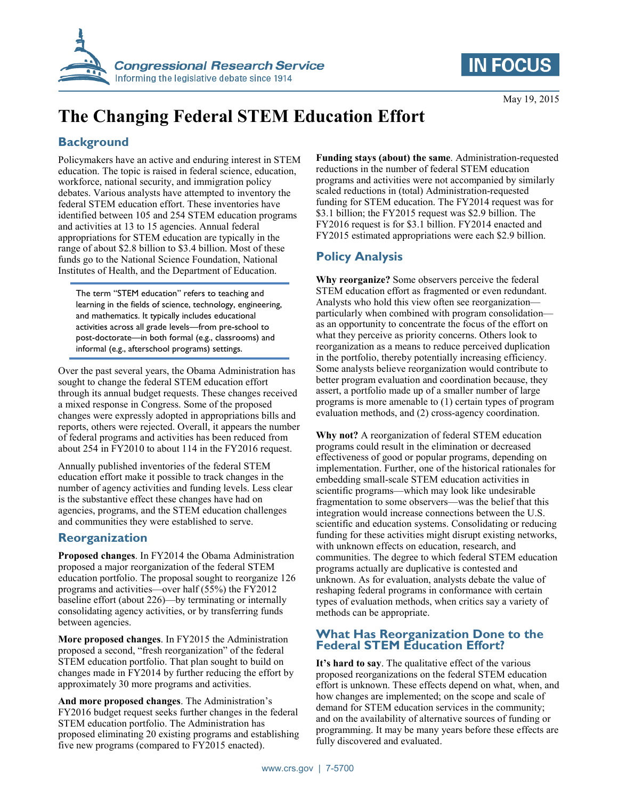



May 19, 2015

# **The Changing Federal STEM Education Effort**

## **Background**

Policymakers have an active and enduring interest in STEM education. The topic is raised in federal science, education, workforce, national security, and immigration policy debates. Various analysts have attempted to inventory the federal STEM education effort. These inventories have identified between 105 and 254 STEM education programs and activities at 13 to 15 agencies. Annual federal appropriations for STEM education are typically in the range of about \$2.8 billion to \$3.4 billion. Most of these funds go to the National Science Foundation, National Institutes of Health, and the Department of Education.

The term "STEM education" refers to teaching and learning in the fields of science, technology, engineering, and mathematics. It typically includes educational activities across all grade levels—from pre-school to post-doctorate—in both formal (e.g., classrooms) and informal (e.g., afterschool programs) settings.

Over the past several years, the Obama Administration has sought to change the federal STEM education effort through its annual budget requests. These changes received a mixed response in Congress. Some of the proposed changes were expressly adopted in appropriations bills and reports, others were rejected. Overall, it appears the number of federal programs and activities has been reduced from about 254 in FY2010 to about 114 in the FY2016 request.

Annually published inventories of the federal STEM education effort make it possible to track changes in the number of agency activities and funding levels. Less clear is the substantive effect these changes have had on agencies, programs, and the STEM education challenges and communities they were established to serve.

### **Reorganization**

**Proposed changes**. In FY2014 the Obama Administration proposed a major reorganization of the federal STEM education portfolio. The proposal sought to reorganize 126 programs and activities—over half (55%) the FY2012 baseline effort (about 226)—by terminating or internally consolidating agency activities, or by transferring funds between agencies.

**More proposed changes**. In FY2015 the Administration proposed a second, "fresh reorganization" of the federal STEM education portfolio. That plan sought to build on changes made in FY2014 by further reducing the effort by approximately 30 more programs and activities.

**And more proposed changes**. The Administration's FY2016 budget request seeks further changes in the federal STEM education portfolio. The Administration has proposed eliminating 20 existing programs and establishing five new programs (compared to FY2015 enacted).

**Funding stays (about) the same**. Administration-requested reductions in the number of federal STEM education programs and activities were not accompanied by similarly scaled reductions in (total) Administration-requested funding for STEM education. The FY2014 request was for \$3.1 billion; the FY2015 request was \$2.9 billion. The FY2016 request is for \$3.1 billion. FY2014 enacted and FY2015 estimated appropriations were each \$2.9 billion.

# **Policy Analysis**

**Why reorganize?** Some observers perceive the federal STEM education effort as fragmented or even redundant. Analysts who hold this view often see reorganization particularly when combined with program consolidation as an opportunity to concentrate the focus of the effort on what they perceive as priority concerns. Others look to reorganization as a means to reduce perceived duplication in the portfolio, thereby potentially increasing efficiency. Some analysts believe reorganization would contribute to better program evaluation and coordination because, they assert, a portfolio made up of a smaller number of large programs is more amenable to (1) certain types of program evaluation methods, and (2) cross-agency coordination.

**Why not?** A reorganization of federal STEM education programs could result in the elimination or decreased effectiveness of good or popular programs, depending on implementation. Further, one of the historical rationales for embedding small-scale STEM education activities in scientific programs—which may look like undesirable fragmentation to some observers—was the belief that this integration would increase connections between the U.S. scientific and education systems. Consolidating or reducing funding for these activities might disrupt existing networks, with unknown effects on education, research, and communities. The degree to which federal STEM education programs actually are duplicative is contested and unknown. As for evaluation, analysts debate the value of reshaping federal programs in conformance with certain types of evaluation methods, when critics say a variety of methods can be appropriate.

#### **What Has Reorganization Done to the Federal STEM Education Effort?**

**It's hard to say**. The qualitative effect of the various proposed reorganizations on the federal STEM education effort is unknown. These effects depend on what, when, and how changes are implemented; on the scope and scale of demand for STEM education services in the community; and on the availability of alternative sources of funding or programming. It may be many years before these effects are fully discovered and evaluated.